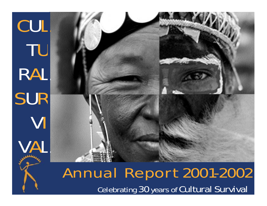

# Annual Report 2001-2002 Celebrating 30 years of Cultural Survival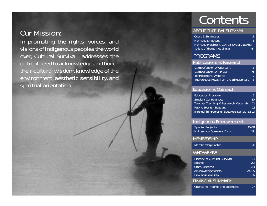# Our Mission:

In promoting the rights, voices, and visions of indigenous peoples the world over, Cultural Survival addresses the critical need to acknowledge and honor their cultural wisdom, knowledge of the environment, aesthetic sensibility, and spiritual orientation.

# **Contents**

# ABOUT CULTURAL SURVIVAL ABOUT CULTURAL SURVIVAL

| <b>Goals &amp; Strategies</b>            |   |
|------------------------------------------|---|
| <b>From the Directors</b>                | 3 |
| From the President, David Maybury-Lewis: |   |
| <b>Crisis of the Ethnosphere</b>         | л |

# PROGRAMS

### Publications & Research

| <b>Cultural Survival Quarterly</b>   | 5.  |
|--------------------------------------|-----|
| <b>Cultural Survival Voices</b>      | 6   |
| <b>Ethnosphere Website</b>           | 7   |
| Indigenous News from the Ethnosphere | - 8 |

# Education & Outreach 1 Education & Outreach

| <b>Education Program</b>                          |    |
|---------------------------------------------------|----|
| <b>Student Conferences</b>                        | 10 |
| <b>Teacher Training &amp; Research Materials</b>  | 11 |
| <b>Public Events - Bazaars</b>                    | 12 |
| <b>Internship Program - Speakers series 13-14</b> |    |

# Indigenous Empowerment

| <b>Special Projects</b><br><b>Indigenous Speakers Forum</b>                        | $15 - 18$<br>19 |
|------------------------------------------------------------------------------------|-----------------|
| MEMBERSHIP                                                                         |                 |
| <b>Membership Profile</b>                                                          | 20              |
| <b>WHO WE ARE</b>                                                                  |                 |
| <b>History of Cultural Survival</b><br><b>Boards</b><br><b>Staff &amp; Interns</b> | 21<br>22<br>23  |
| <b>Acknowledgements</b><br><b>How You Can Help</b>                                 | 24-25<br>26     |
| FINANCIAL SUMMARY                                                                  |                 |
| <b>Operating Income and Expenses</b>                                               | 27              |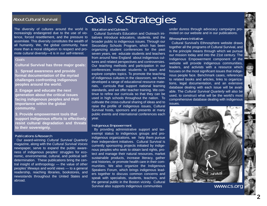# About Cultural Survival

The diversity of cultures around the world is increasingly endangered due to the use of violence, forced resettlement, and the pressure to assimilate. This diversity constitutes the wealth of all humanity. We, the global community, have more than a moral obligation to respect and promote cultural diversity—it is in our self-interest.

#### Goals

**Cultural Survival has three major goals:** 

**1. Spread awareness and provide formal documentation of the myriad challenges confronting indigenous peoples around the world.**

**2. Engage and educate the next generation about the critical issues facing indigenous peoples and their importance within the global community.**

**3. Provide empowerment tools that support indigenous efforts to effectively resist cultural degradation and threats to their sovereignty.** 

#### Publications & Research

Our award-winning *Cultural Survival Quarterly* magazine, along with the *Cultural Survival Voices* newspaper, serve to expand the public awareness of indigenous peoples' struggles for economic, environmental, cultural, and political selfdetermination. These publications bring the central insight of anthropology — the value of other peoples' lifeways and world views — to a general readership, reaching libraries, bookstores, and newsstands throughout the United States and abroad.

# Goals & Strategies

#### Education and Outreach

Cultural Survival's Education and Outreach initiatives introduce educators, students, and the broader public to indigenous issues. Through our Secondary Schools Program, which has been organizing student conferences for the past seven years, we educate students and teachers from around New England about indigenous cultures and related perspectives and controversies. Our teaching methods and participation in our conferences motivate students to learn and explore complex topics. To promote the teaching of indigenous cultures in the classroom, we have developed a range of educational resource materials, curricula that support national learning standards, and we offer teacher training. We continue to refine our curricula so that they can be used in high schools throughout the nation. To cultivate the cross-cultural sharing of ideas and to raise the profile of indigenous issues, Cultural Survival hosts, sponsors and presents at many public events and international conferences each year.

#### Indigenous Empowerment

By providing administrative support and taxexempt status to indigenous groups and proindigenous organizations, we help them pursue their independent initiatives. Cultural Survival is currently sponsoring projects initiated by indigenous peoples who seek to obtain land rights, protect and manage their natural resources, market sustainable products, increase literacy, gather oral histories, or promote health care in their communities. We also organize the Indigenous Speakers Forum, which brings indigenous leaders together to discuss common concerns and speak with specialists, students, teachers, and the general public in the Boston vicinity. Cultural Survival also supports indigenous communities

under duress through advocacy campaigns promoted on our website and in our publications.

#### Ethnosphere Initiative

Cultural Survival's Ethnosphere website draws together all the programs of Cultural Survival, and is the principle means through which we pursue our mission today and into the 21st century. The Indigenous Empowerment component of the website will provide indigenous communities, leaders, and activists with a resource which focuses on the most significant issues that indigenous people face. Benchmark cases, references to related books and articles, links to organizations, legal documentation, and an extensive database dealing with each issue will be available. The *Cultural Survival Quarterly* will also be used, to construct what will be the world's most comprehensive database dealing with indigenous issues.

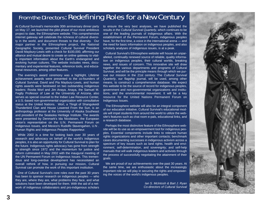# From the Directors: Redefining Roles for a New Century

At Cultural Survival's memorable 30th anniversary dinner party on May 17, we launched the pilot phase of our most ambitious project to date, the Ethnosphere website. This comprehensive internet gateway will celebrate the richness of cultural diversity in the world, and document threats to that diversity. Our major partner in the Ethnosphere project, the National Geographic Society, presented Cultural Survival President David Maybury-Lewis with a check for \$100,000, affirming our alliance and mutual desire to create an online gateway to vitally important information about the Earth's endangered and evolving human cultures. The website includes news, documentary and experiential features, reference tools, and educational resources, among other features.

The evening's award ceremony was a highlight. Lifetime achievement awards were presented to the co-founders of Cultural Survival, David and Pia Maybury-Lewis, and human rights awards were bestowed on two outstanding indigenous leaders: Rosita Worl and Jim Anaya. Anaya, the Samuel M. Fegtly Professor of Law at the University of Arizona, also serves as special counsel to the Indian Law Resource Center, a U.S.-based non-governmental organization with consultative status at the United Nations. Worl, a Tlingit of Shangukeidi Thunderbird Clan and House Lowered From the Sun, is an anthropology professor at the University of Alaska Southeast and president of the Sealaska Heritage Institute. The awards were presented by Denmark's Ida Nicolaisen, the European Union's representative on the U.N. Permanent Forum on Indigenous Issues, and Mexico's Rudolfo Stavengahen, U.N . Human Rights and Indigenous Peoples Rapporteur.

While 2002 is a time for looking back over 30 years of research and advocacy on behalf of the world's indigenous peoples, it is also an opportunity for Cultural Survival to plan for the future. Indigenous rights advocacy has gone from strength to strength since 1972 and the momentum for justice and reform culminated in May 2002 with the inaugural meeting of the UN Permanent Forum on Indigenous Issues. This tremendous and long-overdue development has necessitated an overall rethink of how, in pursuing our mission, Cultural Survival can promote the work of this important institution.

One of Cultural Survival's core roles over the past 30 years has been to sponsor research on indigenous peoples — who they are, where they are, what problems they face, and what solutions have been developed for them. With the aid of a network of indigenous collaborators and pro-indigenous scholars to ensure the very best analyses, we have published the results in the *Cultural Survival Quarterly*, which continues to be one of the leading journals of indigenous affairs. With the establishment of the Permanent Forum, indigenous peoples have, for the first time, a voice in the international arena — and the need for basic information on indigenous peoples, and also scholarly analyses of indigenous issues, is at a peak.

Cultural Survival's Ethnosphere website will house an unparalleled, continually renewed source of reliable, quality information on indigenous peoples, their cultural worlds, breaking news, and issues of concern. This innovative site will draw together the various departments and programs of Cultural Survival, and will be the principle means through which we pursue our mission in the 21st century. The *Cultural Survival Quarterly*, our flagship journal, will be used, among other means, to construct a comprehensive database. We expect this website to be the source of record for indigenous peoples, government and non-governmental organizations and institutions, and the environmental movement. It will be a key resource for the United Nations Permanent Forum on Indigenous Issues.

The Ethnosphere website will also be an integral component of our education initiative. Cultural Survival's educational module will impel students from around the world to utilize the website's features such as chat room e-pals, educational links, and a research database.

Perhaps the most distinctive feature of the Ethnosphere website will be its use as an empowerment tool for indigenous peoples. Essential components include links to relevant human rights organizations and other important contacts; benchmark cases documenting successes in indigenous activism across a spectrum of key issues such as land rights, health and environment, self-determination, and sovereignty; and self-help manuals that will walk indigenous leaders and activists through the process of successfully negotiating the attainment of their goals.

We are proud of our achievements over the past 30 years. At the same time, we are enthusiastic about the increasingly important role we will play in securing the rights and empowering the voices of the world's indigenous peoples.

> *Ian S. McIntosh & Bart J. Ryan Co-directors of Cultural Survival*

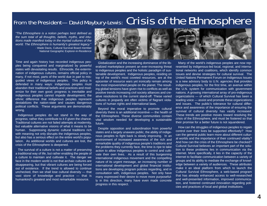# From the President— David Maybury-Lewis: Crisis of the Ethnosphere

*"The Ethnosphere is a notion perhaps best defined as the sum total of all thoughts, beliefs, myths, and intuitions made manifest today in the myriad cultures of the world. The Ethnosphere is humanity's greatest legacy." -* Wade Davis, Cultural Survival Board member National Geographic Explorer-in-Residence

Time and again history has recorded indigenous peoples being conquered and marginalized by powerful states with devastating results. Ethnocide, the extermination of indigenous cultures, remains official policy in many, if not most, parts of the world due in part to misguided views of indigenous peoples. This policy is defended in many ways: indigenous peoples must abandon their traditional beliefs and practices and modernize for their own good; progress is inevitable and indigenous peoples cannot impede development; the ethnic difference that indigenous peoples represent destabilizes the nation-state and causes dangerous political conflicts. These arguments are demonstrably wrong.

Indigenous peoples do not stand in the way of progress; rather they contribute to it if given the chance. Traditional cultures are not failed attempts at modernity, but valuable alternative visions of what it means to be human. Suppressing dynamic cultural traditions rich with meaning not only disrupts the indigenous peoples, but also has a serious effect on the entire world's population. As additional worlds and cultures are lost, the crisis of the Ethnosphere is deepened.

The survival of a culture is not a matter of preserving a traditional way of life, but rather enabling the people of a culture to maintain and cultivate it. The danger we face in the modern world is not that archaic cultures are disappearing, but that vibrant cultures are being forced out of existence. If the trend is allowed to continue unchecked, then we shall lose cultural diversity — that vast store of knowledge and practice — that is humankind's greatest and most remarkable resource.



Globalization and the increasing dominance of the liberalized marketplace present an ever-increasing threat to indigenous peoples and the holistic paradigm of sustainable development. Indigenous peoples, residing on top of the world's most coveted resources, are at the epicenter of resource wars yet ironically remain among the most impoverished people on the planet. The resulting global tensions have given rise to conflicts as well as positive trends increasing civil society alliances and creative resolutions to the current stand-off. These varied cultures in jeopardy are often victims of flagrant violations of human rights and international laws.

Beyond the moral imperative to promote cultural diversity there is an additional incentive — the health of the Ethnosphere. These diverse communities contain vital wisdom needed for developing a sustainable future.

Despite opposition and subordination from powerful states and a largely unaware public, the ability of indigenous peoples to fight back is slowly improving. In an environment of increased awareness of the rich and remarkable quality of indigenous people's traditions and the problems they currently face, the time is ripe to take action to allow indigenous peoples to control and cultivate their own lives. As a result of this burgeoning international indigenous movement and the compelling nature of its urgent message, an increasing number of international development and global financial institutions are developing program policies regarding, and in consultation with, indigenous peoples. Not only have many expressed their desire to move more purposefully in this direction, many have even made concrete progress in this respect.

Many of the world's indigenous peoples are now represented by indigenous-led local, regional, and international networks and coalitions, which identify common issues and devise strategies for cultural survival. The United Nations Permanent Forum on Indigenous Issues is a new advisory body to U.N. agencies that provides indigenous peoples, for the first time, an avenue within the U.N. system for communication with government nations. A growing international array of pro-indigenous organizations — of which Cultural Survival has been a leading voice — assist and promote these organizations and issues. The public's tolerance for cultural difference and awareness of the importance of ensuring the survival of cultural diversity has vastly increased. These trends are positive moves toward resolving the crisis of the Ethnosphere, and must be fostered so that their promise for a better future is not squandered.

How can the struggles of indigenous peoples to regain control over their lives be supported effectively? How can the general public learn more about different cultural worlds and the importance of their continued vitality? And how can the crisis of the Ethnosphere be checked? Cultural Survival believes an important part of the solution to these problems lies in communication via the internet. More specifically, it lies in the capacity of the internet to facilitate communication between a variety of groups and its ability to mediate the exchange of knowledge between a variety of audiences. These attributes make it an ideal platform from which to launch the Cultural Survival Ethnosphere, a web-based program that has already enhanced access to well-researched and well-presented information, improved communication, and fostered continued innovation regarding policies and practices of local and global institutions.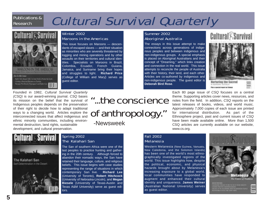# Publications & Research

# Cultural Survival Quarterly



# Winter 2002 Maroons in the Americas

This issue focuses on Maroons — descendants of escaped slaves — and their situation as minorities who are severely threatened by logging and mining operations and by other assaults on their territories and cultural identities. Specialists on Maroons in Brazil, Colombia, Ecuador, French Guiana, Jamaica, and Suriname bring their hopes and struggles to light. **Richard Price** (College of William and Mary) serves as guest editor.

# Summer 2002 Aboriginal Australia

The essays in this issue attempt to make connections across generations of indigenous peoples and between indigenous and non-indigenous groups. A special emphasis is placed on Aboriginal Australians and their concept of "Dreaming," which links creation and connection in the real world. This issue attempts to reconcile the people of Australia with their history, their land, and each other. Articles are co-authored by indigenous and non-indigenous people. The guest editor is **Deborah Bird Rose**.

# **Cultural** KSurvival



Nurturing the Sacred IN ASCRITZINA AUSTRIA M Place a possibili request on Talwan

Founded in 1982, *Cultural Survival Quarterly (CSQ)* is our award-winning journal. *CSQ* bases its mission on the belief that the survival of Indigenous peoples depends on the preservation of their right to decide how to adapt traditional ways to a changing world. Articles explore the interconnected issues that affect indigenous and ethnic minority communities, including environmental destruction, land rights, sustainable development, and cultural preservation.

# "...the conscience of anthropology."

-Newsweek



# Spring 2002 The Kalahari San

The San of southern Africa were one of the last peoples to practice hunting and gathering in the 20th century. Although forced to abandon their nomadic ways, the San have retained their language, culture, and religious beliefs. This issue begins with case studies representing the range of situations in which contemporary San live. **Richard Lee** (University of Toronto), **Robert Hitchcock** (University of Nebraska-Lincoln), and **Megan Biesele** (University of Texas-Austin and Texas A&M University) serve as guest editors.

Each 80 page issue of *CSQ* focuses on a central theme. Supporting articles cover news, resources, and notes from the field. In addition, *CSQ* reports on the latest releases of books, videos, and world music. Approximately 7,000 copies of each issue are printed for international distribution. As part of the Ethnosphere project, past and current issues of *CSQ* have been made available online. More than 1,500 CSQ articles are currently available on our website, www.cs.org.

# Fall 2002 Melanesia

Western Melanesia (New Guinea, Vanuatu, New Caledonia, and the Solomon Islands) has been one of the world's most ethnographically investigated regions of the world. This issue highlights how, despite the political, economic, and physical hazards brought about by Melanesia's increasing exposure to a global world, local communities have responded to augment and enhanced their cultural identity and uniqueness. **James Weiner** (Australian National University) serves as guest editor.

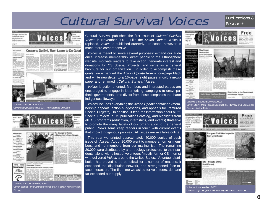# Cultural Survival Voices

# Publications & Research



Cultural Survival published the first issue of *Cultural Survival Voices* in November 2001. Like the *Action Update*, which replaced, Voices is published quarterly. Its scope, however, much more comprehensive.

*Voices* is meant to serve several purposes: expand our aud ence, increase membership, direct people to the Ethnospher website, motivate readers to take action, generate interest an donations for CS Special Projects, and serve as a general brochure for our organization. In order to accomplish these goals, we expanded the *Action Update* from a four-page black and white newsletter to a 16-page (eight pages in color) newspaper and renamed it *Cultural Survival Voices*.

*Voices* is action-oriented. Members and interested parties are encouraged to engage in letter-writing campaigns to unsympathetic governments, or to divest from those companies that hare indigenous lifeways.

*Voices* includes everything the *Action Update* contained (membership appeals, action suggestions, and appeals for feature Special Projects). In addition, it features information about all 2 Special Projects, a CS publications catalog, and highlights from all CS programs (education, internships, and events) thatserve to promote the many facets of our organization to the general public. News items keep readers in touch with current event that impact indigenous peoples. All issues are available online.

This year we printed approximately 40,000 copies of each issue of *Voices.* About 20,000 went to members, former members, and nonmembers from our mailing list. The remaining 20,000 were distributed by anthropology professors to their students, along with a host of volunteers (mostly former CS interns) who delivered *Voices* around the United States. Volunteer distribution has proved to be beneficial for a number of reasons: expanded the distribution network, and strenghtened face-toface interaction. The first time we asked for volunteers, demand far exceeded our supply.

| эI                            | Free<br>viva<br>Ethnosphere<br>Project                                                                              |
|-------------------------------|---------------------------------------------------------------------------------------------------------------------|
| it                            | Leaster<br>May 17                                                                                                   |
| S                             | allo codo del<br>an awards.<br><b>PERK 1R</b>                                                                       |
|                               |                                                                                                                     |
|                               | <b>Mau Forest</b><br>Destruction                                                                                    |
| i-                            | Kumán anid Bolingkoal<br><b>Inseter</b> in the Making                                                               |
| е                             |                                                                                                                     |
| d                             |                                                                                                                     |
| al                            |                                                                                                                     |
| e                             | <b>Litter 11</b>                                                                                                    |
| k                             |                                                                                                                     |
| s-                            | this frantiscuts shared aith action                                                                                 |
|                               | u trans<br>Figur 18<br><b>Little atgaining</b>                                                                      |
| e                             | $\label{eq:1} \text{Figure 4-1:} \begin{array}{l} \textbf{1:} \textbf{2:} \textbf{3:} \end{array}$<br><b>hap d</b>  |
| ì-                            | a Francis<br>Riggi 1<br>n Barks                                                                                     |
| 'n                            | Faget: 6 & N<br>Open Letter to the Government<br>silein<br>Help Save the Mau Forest<br>and Meess People<br>Fear III |
|                               | 4 Thinness<br>and in<br>Regis (L)                                                                                   |
|                               | Volume 1: Issue 3 SUMMER 2002                                                                                       |
| ۱-                            | Cover Story: Mau Forest Destruction: Human and Ecological                                                           |
| d                             | <b>Disaster in the Making</b>                                                                                       |
| 1                             | <b>AFENIE V</b>                                                                                                     |
| 'n                            | Free<br>sviv<br>Help produce a film of                                                                              |
| е                             | <b>Big Erst Parmanent</b><br>ŀ<br>Forum on indigenous                                                               |
| $\overline{\mathsf{a}}$       | lossues at the Linited<br><b>Marthovine</b>                                                                         |
| 'S                            | saja 1<br><b>Promoting the n</b><br>ttt, valoes, and visions of indigenous peoples                                  |
| ı,                            | Congo's Civil War Imperiis                                                                                          |
|                               |                                                                                                                     |
|                               | <b>Buri Livelihood</b>                                                                                              |
| h                             |                                                                                                                     |
| ۱-                            |                                                                                                                     |
| g                             |                                                                                                                     |
| I÷                            |                                                                                                                     |
| s)                            |                                                                                                                     |
| i-                            |                                                                                                                     |
| it                            | Ete-People of the<br>18.61<br><b>Ituri Forest</b>                                                                   |
| )-<br>$\overline{\mathbf{r}}$ | ia lle 6                                                                                                            |

Volume 1: Issue 4 FALL 2002

Cover story: Congo's Civil War Imperils Ituri Livelihood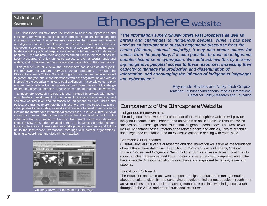# Ethnosphere website

The Ethnosphere Initiative uses the internet to house an unparalleled and continually renewed source of reliable information about and for endangered indigenous peoples. It simultaneously celebrates the richness and diversity of indigenous cultures and lifeways, and identifies threats to this diversity. Moreover, it uses real time interactive tools for advocacy, challenging stakeholders and the public at large to work toward a future in which indigenous peoples 1) can maintain their languages and cultures in the face of assimilatory pressures, 2) enjoy unrivalled access to their ancestral lands and waters, and 3) pursue their own development agendas on their own terms.

Publications &

Research

This year at Cultural Survival, the Ethnosphere has served as an organizing framework to Cultural Survival's various programs. Through the Ethnosphere, each Cultural Survival program has become better equipped to gather, analyze, and share information within the organization and with an increasingly electronically linked global audiences. It also allows us to play a more central role in the documentation and dissemination of knowledge related to indigenous peoples, organizations, and international movements.

Ethnosphere research projects this year included interviews with indigenous leaders, development of the online Indigenous News service, and selective country-level documentation on indigenous cultures, issues and political organizing. To promote the Ethnosphere, we have built e-lists to provide updates to our existing networks and continue to develop new contacts through the Internet and international conferences. In 2002 Cultural Survival created a prominent Ethnosphere exhibit at the United Nations, which coincided with the first meeting of the First Permanent Forum on Indigenous Issues in New York. It then traveled to the U.N. in Geneva for other international conferences. These virtual networks provide consistency and followup to the face-to-face international meetings with partner organizations, helping to coordinate and disseminate materials.



*"The information superhighway offers vast prospects as well as pitfalls and challenges to indigenous peoples. While it has been used as an instrument to sustain hegemonic discourse from the center (Western, colonial, majority), it may also create spaces for voices from the periphery. It is also possible to push an indigenous counter-discourse in cyberspace. We could achieve this by increasing indigenous peoples' access to these resources, increasing their capacity to manage the production and dissemination of information, and encouraging the infusion of indigenous languages into cyberspace."*

> Raymundo Rovillos and Vicky Tauli-Corpuz, Tebtebba Foundation/Indigenous Peoples International Center for Policy-Research and Education

# Components of the Ethnosphere Website

## Indigenous Empowerment

The Indigenous Empowerment component of the Ethnosphere website will provide indigenous communities, leaders, and activists with an unparalleled resource which focuses on the most significant issues that indigenous people face. The website will include benchmark cases, references to related books and articles, links to organizations, legal documentation, and an extensive database dealing with each issue.

### Research & Publications

Cultural Survival's 30 years of research and documentation will serve as the foundation of our Ethnosphere database. In addition to *Cultural Survival Quarterly*, *Cultural Survival Voices*, and *Indigenous News,* Cultural Survival's research team continues to collect articles, references, and links in order to create the most comprehensible database available. All documentation is searchable and organized by region, issue, and peoples.

### Education & Outreach

The Education and Outreach web component helps to educate the next generation about the cultural diversity and continuing struggles of indigenous peoples through interactive modules, curricula, online teaching manuals, e-pal links with indigenous youth throughout the world, and other educational resources. Cultural Survival's Ethnosphere Homepage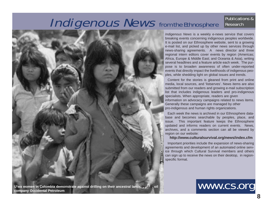## **Indigenous News** from the Ethnosphere Publications & Research



*Indigenous News* is a weekly e-news service that covers breaking events concerning indigenous peoples worldwide. It is posted on our Ethnosphere website, sent to a growing e-mail list, and picked up by other news services through news-sharing agreements. A news director and three regional intern editors cover events by region (Americas; Africa, Europe & Middle East; and Oceania & Asia), writing several headlines and a feature article each week. The purpose is to broaden awareness of often under-reported events that directly impact the livelihoods of indigenous peoples, while shedding light on global issues and trends.

Content for the stories is gleaned from print and online media, local sources, and 'listserves'. News items are also submitted from our readers and growing e-mail subscription list that includes indigenous leaders and pro-indigenous specialists. When appropriate, readers are given information on advocacy campaigns related to news items. Generally these campaigns are managed by other pro-indigenous and human rights organizations.

Each week the news is archived in our Ethnosphere database and becomes searchable by peoples, place, and issue. This important feature keeps the Ethnosphere updated and informs readers on current events. News, archives, and a comments section can all be viewed by region on our website:

#### **http://www.culturalsurvival.org/news/index.cfm**

Important priorities include the expansion of news-sharing agreements and development of an automated online service through which Cultural Survival members and others can sign up to receive the news on their desktop, in regionspecific format.

www.cs.org

**company Occidental Petroleum**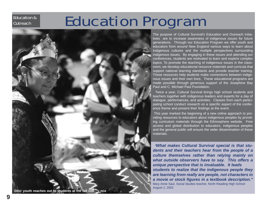# Education Program

**J. Brown**

**Din** é **youth reaches out to students at the fall conference**

The purpose of Cultural Survival's Education and Outreach initiatives are to increase awareness of indigenous issues for future generations. Through our Education Program we offer youth and educators from around New England various ways to learn about indigenous cultures and the multiple perspectives surrounding indigenous issues. By engaging in these issues and attending our conferences, students are motivated to learn and explore complex topics. To promote the teaching of indigenous issues in the classroom, we develop educational resource materials and curricula that support national learning standards and provide teacher training. These resources help students make connections between indigenous issues and their own lives. These educational programs are made possible through generous support of the Josephine Bay Paul and C. Michael Paul Foundation.

Twice a year, Cultural Survival brings high school students and teachers together with indigenous leaders and experts for a day of dialogue, performances, and activities. Classes from each participating school conduct research on a specific aspect of the conference theme and present their findings at the event.

This year marked the beginning of a new online approach to providing resources to educators about indigenous peoples by providing curriculum materials through the Ethnosphere website. Free access and global distribution to educators, indigenous peoples and the general public will ensure the wider dissemination of these materials.

"*What makes Cultural Survival special is that students and their teachers hear from the people of a culture themselves rather than relying mainly on what outside observers have to say. This offers a unique perspective that is invaluable. It leads students to realize that the indigenous people they are learning from really are people, not characters in a movie or stock figures in a textbook description."* Mary Anne Saul, Social Studies teacher, North Reading High School August 2, 2002

Education & **Outreach**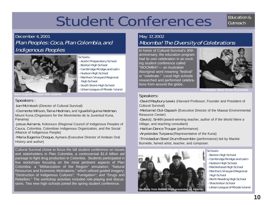# Student Conferences

Education & **Outreach** 

# December 4, 2001 Plan Peoples: Coca, Plan Colombia, and Indigenous Peoples



### Schools:

- Austin Preparatory School
- Boston High School
- Cambridge Rindge and Latin
- Hudson High School
- Martha's Vineyard Regional High School
- South Shore High School
- Urban League of Rhode Island

**Maria Eugenia Choque with students**

# Speakers :

**-Ian McIntosh** (Director of Cultural Survival)

-Clemente Wilson, Taina Hedman**,** and Iguaibiliguina Hedman,

Mount Kuna (Organizers for the Movimiento de la Juventud Kuna, Panama)

-Jesus Avirama, Kokonuco (Regional Council of Indigenous Peoples of Cauca, Colombia, Colombian Indigenous Organization, and the Social Alliance of Indigenous People)

**-Maria Eugenia Choque, Aymara (Executive Director of Andean Oral** History and author)

Cultural Survival chose to focus the fall student conference on issues and stakeholders in Plan Colombia, a controversial \$1.6 billion aid package to fight drug production in Colombia. Students participated in five workshops focusing on the most pertinent aspects of Plan Colombia: a "Militarization of the Region" simulation; "Natural Resources and Economic Motivations," which utilized guided imagery; "Destruction of Indigenous Cultures"; "Fumigation"; and "Drugs and Rebellion." The workshop activities included role-playing and discussions. Two new high schools joined the spring student conference.

# May 17, 2002 Moomba! The Diversity of Celebrations

In honor of Cultural Survival's 30th anniversary, the education program had its own celebration in an exciting student conference called "MOOMBA!"— an Australian Aboriginal word meaning "festival" or "celebrate." Local high schools researched and performed celebrations from around the globe.



**Trinidadian Steel Drum Ensen** 

# Speakers:

-David Maybury-Lewis (Harvard Professor; Founder and President of Cultural Survival)

-Meitamei Olol-Dapash (Executive Director of the Maasai Environmental Resource Center)

-David J. Smith (award-winning teacher, author of *If the World Were a Village*, and teaching consultant)

**-Haitian Dance Troupe** (performance)

-Arysteides Turpana (Representative of the Kuna)

-Trinidadian Steel Drum Ensemble (performance) led by Mackie Burnette, famed artist, teacher, and composer.



#### Schools:

- Boston High School
- Cambridge Rindge and Latin
- Hudson High School
- Marblehead High School
- Martha's Vineyard Regional High School
- North Reading High School
- Shackleton School
- Urban League of Rhode Island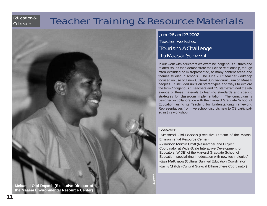# Education & **Outreach**

# Teacher Training & Resource Materials

# June 26 and 27, 2002 Teacher workshop Tourism: A Challenge to Maasai Survival

In our work with educators we examine indigenous cultures and related issues then demonstrate their close relationship, though often excluded or misrepresented, to many content areas and themes studied in schools. The June 2002 teacher workshop focused on use of a new Cultural Survival curriculum on Maasai peoples. It included units on stereotypes and ways to explore the term "indigenous." Teachers and CS staff examined the relevance of these materials to learning standards and specific strategies for classroom implementation. The curriculum is designed in collaboration with the Harvard Graduate School of Education, using its Teaching for Understanding framework. Representatives from five school districts new to CS participated in this workshop.

# Speakers:

-Meitamei Olol-Dapash (Executive Director of the Maasai Environmental Resource Center)

-Shannon Martin Croft (Researcher and Project Coordinator at Wide-Scale Interactive Development for Educators [WIDE] of the Harvard Graduate School of Education, specializing in education with new technologies) -Lisa Matthews (Cultural Survival Education Coordinator) -Larry Childs (Cultural Survival Ethnosphere Coordinator)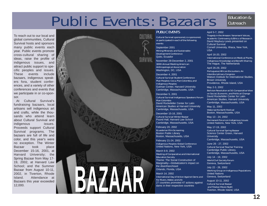# Public Events: Bazaars

#### To reach out to our local and global communities, Cultural Survival hosts and sponsors many public events each year. Public events promote cross-cultural sharing of ideas, raise the profile of indigenous issues, and attract public support to specific peoples and issues. These events include bazaars, indigenous speakers fora, student conferences, and a variety of other conferences and events that we participate in or co-sponsor.

At Cultural Survival's fundraising bazaars, local artisans sell indigenous art and crafts, while the thousands who attend learn about Cultural Survival and indigenous issues. Proceeds support Cultural Survival programs. The bazaars are full of life and color, and this year's were no exception. The Winter Bazaar took place December 15-16, 2001, at Harvard University; the Spring Bazaar from May 17- 19, 2002, at Harvard Law School; and the Summer Bazaar from August 10-11, 2002, in Tiverton, Rhode Island. Attendance at Bazaars this year exceeded 12,000.



#### PUBLIC EVENTS

Cultural Survival sponsored, co-sponsored, or participated in each of the following events:

September 2001 Mining Minerals and Sustainable Development Conference Quito, Ecuador

November 28-December 2, 2001 100th Annual Meeting American Anthropological Association Washington, DC, USA

December 4, 2001 Cultural Survival Student Conference Plan Peoples: Coca, Plan Colombia, and Indigenous Peoples Gutman Center, Harvard University Cambridge, Massachusetts, USA

December 5, 2001 Cultural Survival Indigenous Speakers Forum Plan Colombia David Rockefeller Center for Latin American Studies at Harvard University Cambridge, Massachusetts, USA

December 15-16, 2001 Cultural Survival Winter Bazaar Pound Hall, Harvard Law School Cambridge, Massachusetts, USA

February 20, 2002 Ecuadorian Film Screening Boston Public Library Boston, Massachusetts, USA

February 21-24, 2002 Indigenous Peoples Global Conference United Nations, New York, USA

March 6-9, 2002 Meeting of Comparative and International Education Society Theme: The Social Construction of Marginality—Globalization's impact on the disenfranchised Orlando, Florida, USA

March 14, 2002 International Day of Action Against Dams and For Rivers, Water, and Life 27 countries promoted 47 actions against dams in their respective countries

# Education & **Outreach**

#### April 5-7, 2002

Tragedy in the Amazon: Yanomami Voices, Academic Controversy & Ethics of Research David Maybury-Lewis presented on Cultural Survival Cornell University, Ithaca, New York, USA

#### April 16-20, 2002

International Conference on Medical Plants, Indigenous Knowledge and Benefit Sharing The Hague, The Netherlands

#### April 26-29, 2002

Portuguese/African Encounters: An Interdisciplinary Congress Watson Institute for International Studies. Brown University Providence, Rhode Island, USA

#### May 2-3, 2002

Bolivian Revolution at 50: Comparative View on Social, Economic, and Political Change David Rockefeller Center for Latin American Studies, Harvard University Cambridge, Massachusetts, USA

May 11, 2002 Wake Up the Earth Festival Boston, Massachusetts, USA

May 13 - 24, 2002 Permanent Forum on Indigenous Issues United Nations, New York, USA

#### May 17-19, 2002 Cultural Survival Spring Bazaar Science Center Green, Harvard **University**

Cambridge, Massachusetts, USA June 26 - 27, 2002

Cultural Survival Teacher Training Cambridge Public Library, Cambridge, Massachusetts, USA

July 14 - 19, 2002 World Civil Society Forum Geneva, Switzerland

July 22 - 26, 2002 Working Group on Indigenous Populations United Nations Geneva, Switzerland

August 10-11, 2002 Cultural Survival Bazaar and Tibetan Movie Night Tiverton, Rhode Island, USA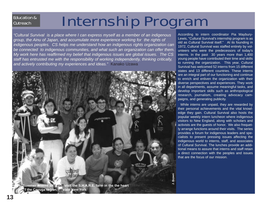# Education & **Outreach**

# Internship Program

*"Cultural Survival is a place where I can express myself as a member of an indigenous group, the Ainu of Japan, and accumulate more experience working for the rights of indigenous peoples. CS helps me understand how an indigenous rights organization can be connected to indigenous communities, and what such an organization can offer them. My work here has reaffirmed my belief that indigenous issues are global issues. The CS staff has entrusted me with the responsibility of working independently, thinking critically, and actively contributing my experiences and ideas."* Kanako Uzawa



According to intern coordinator Pia Maybury-Lewis, "Cultural Survival's internship program is as old as Cultural Survival itself." At its founding in 1972, Cultural Survival was staffed entirely by volunteers who were the predecessors of today's interns. In the past 30 years more than 1,400 young people have contributed their time and skills to running the organization. This year, Cultural Survival has welcomed 52 interns from 15 different states and 13 different countries. These interns are an integral part of our functioning and continue to enrich and enliven the organization with their diverse perspectives and experiences. They work in all departments, assume meaningful tasks, and develop important skills such as anthropological research, journalism, creating advocacy campaigns, and generating publicity.

While interns are unpaid, they are rewarded by their personal achievements and the vital knowledge they gain. Cultural Survival also hosts the popular weekly intern luncheon where indigenous visitors to New England, along with scholars and activists are the guests of honor. We also frequetly arrange functions around their visits. The series provides a forum for indigenous leaders and specialists to present pressing issues affecting the indigenous world to interns, staff, and associates of Cultural Survival. The lunches provide an additional means to assure that interns and staff retain a direct connection with the peoples and issues that are the focus of our mission.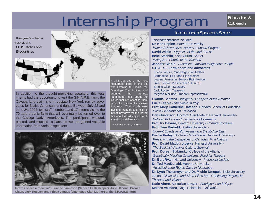# Internship Program

# Education & **Outreach**

This year's interns represent 19 U.S. states and 13 countries



In addition to the thought-provoking speakers, this year interns had the opportunity to visit the S.H.A.R.E. farm, the Cayuga land claim site in upstate New York run by advocates for Native American land rights. Between July 22 and June 24, 2002, two staff members and 17 interns visited the 70-acre organic farm that will eventually be turned over to the Cayuga Native Americans. The participants weeded, painted, and mucked a barn, as well as gained valuable information from various speakers.

"I think that one of the most memorable parts of the trip was listening to Freida, the Onondoga Clan Mother, and Luanne, the Seneca Faithkeeper, talk about the issues that are affecting them (land claim, cultural revitalization, etc). Their words were inspiring, hopeful, and fulfilling in that they gave me the feeling that what I was doing was really making a difference."

-Neil Ragsdale, CS intern



**Interns share a meal with Luanne Jamieson (Seneca Faith Keeper), Julie Uticone, Brooke Olsen, Jack Rossen, and Frieda Jaques (Onondaga Clan Mother) at the S.H.A.R.E. farm**

# Intern Lunch Speakers Series

This year's speakers included: **Dr. Ken Pepion**, Harvard University-*Harvard University's Native American Program* **David Wilkie** - *Pygmies of the Ituri Forest* **Irene Staehlin**, San Cultural Center - *!Kung-San People of the Kalahari* **Jennifer Clarke** - *Australian Law and Indigenous People* **S.H.A.R.E. Farm board and advocates**-Frieda Jaques, Onondaga Clan Mother Bernadette Hill, Huron Clan Mother Luanne Jamieson, Seneca Faith Keeper Julie Uticone, President of S.H.A.R.E Brooke Olsen, Secretary Jack Rossen, Treasurer Meghan McCune, Student Representative

**Claudia Santana** - *Indigenous Peoples of the Amazon* **Lucia Clarke** -*The Roma in Italy* **Prof. Mary Catherine Bateson**, Harvard School of Education-*Cross Generational Education* **Bret Gustafson**, Doctoral Candidate at Harvard University-*Bolivian Politics and Indigenous Movements* **Prof. Irv Devore**, Harvard University - *Primate Societies* **Prof. Tom Barfield**, Boston University - *Current Events in Afghanistan and the Middle East* **Bernie Perley**, Doctoral Candidate at Harvard University - *Preserving the Languages of Canada's First Nations* **Prof. David Maybury-Lewis**, Harvard University - *The Backlash Against Cultural Survival* **Prof. Doreen Stabinsky**, College of the Atlantic - *Genetically Modified Organisms: Food for Thought* **Dr. Bart Ryan**, Harvard University - *Indonesia Update* **Dr. Ted MacDonald**, Harvard University - *Awastigni Land Rights Case in Nicaragua* **Dr. Lynn Theismeyer and Dr. Michio Umegaki**, Keio University, Japan - *Discussion and Short Films from Continuing Projects in Thailand and Vietnam* **Katie Ahern**, Australian Lawyer - *Aboriginal Land Rights*  **Moises Valafana**, Kogi, Colombia - *Colombia*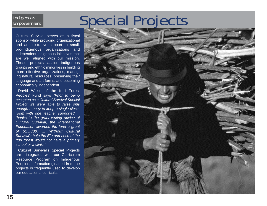# Special Projects

# **Indigenous** Empowerment

Cultural Survival serves as a fiscal sponsor while providing organizational and administrative support to small, pro-indigenous organizations and independent indigenous initiatives that are well aligned with our mission. These projects assist indigenous groups and ethnic minorities in building more effective organizations, managing natural resources, preserving their language and art forms, and becoming economically independent.

David Wilkie of the Ituri Forest Peoples' Fund says *"Prior to being accepted as a Cultural Survival Special Project we were able to raise only enough money to keep a single classroom with one teacher supported ... thanks to the grant writing advice of Cultural Survival, the International Foundation awarded the fund a grant of \$25,000. ... Without Cultural Survival's help the Efe and Lese of the Ituri forest would not have a primary school or a clinic."*

Cultural Survival's Special Projects are integrated with our Curriculum Resource Program on Indigenous Peoples. Information gleaned from the projects is frequently used to develop our educational curricula.

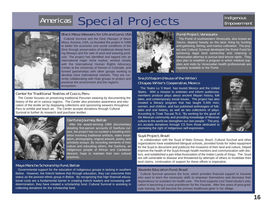# Americas Special Projects



### Black Mesa Weavers for Life and Land, USA

Cultural Survival and the Diné (Navajo) of Black Mesa, Arizona, USA, co-founded the project in 1998 to better the economic and social conditions of the Diné through preservation of traditional sheep-herding lifeways and the sale of wool and weaving products. The project has identified and tapped into an international major niche market, worked closely with the International Human Rights Advocacy Center at the University of Denver in Colorado, and formed partnerships with other groups working to develop more international markets. They are currently collaborating with Hopi groups to protect and preserve the environment and the region's ecosystem.

## Center for Traditional Textiles of Cusco, Peru

The Center focuses on preserving traditional Peruvian weaving by documenting the history of the art in various regions. The Center also promotes awareness and education of the textile art by displaying collections and sponsoring weavers throughout Peru to exhibit and teach art. The Center accepts donations through Cultural Survival to further its research and purchase textiles .



## Garifuna Journey, Belize

After the award-winning 1994 documentary detailing first-person accounts of Garifuna culture, the project has co-curated a traveling exhibition involving traditional artifacts, video installation, photography, original artwork, poetry, and scholarly essays. By recording elements of their culture and educating others, the Garifuna, an indigenous people of African and Caribbean descent, hope to maintain their own cultural practices.

### Maya Manche Scholarship Fund, Belize

Governmental support for the education of indigenous groups is lacking in southern Belize. However, the Kekchi believe that through education, they can overcome their status as the poorest ethnic group in Belize. By recognizing that high financial educational costs are a fundamental barrier in creating Kekchi leaders and increasing selfdetermination, they have created a scholarship fund. Cultural Survival is assisting in collecting donations for the scholarship fund.



# Pumé Project, Venezuela

The Pumé of southwestern Venezuela, also known as Yaruro, depend heavily on the land, living by hunting and gathering, fishing, and manioc cultivation. The project and Cultural Survival developed the Pumé Fund for achieving legal land ownership and retaining a Venezuelan attorney to pursue land tenure rights. They also plan to establish a program in which medical supplies and visits by Venezuelan health professionals are regularly available to the Pumé.

# Sna Jtz'ibajom (House of the Writer) Chiapas Writer's Cooperative, Mexico

The Teatro Lo 'il Maxil has toured Mexico and the United States. With a mission to entertain and inform audiences, members produce plays about ancient Mayan history, folk tales, and contemporary social issues. The project has also created a literacy program that has taught 5,500 men, women, and children, and has published anthologies of folktales and oral history, as well as two collections of plays. According to Tziak Tsa-pat Ts-it, "By working for the good of the Mexican community and providing knowledge of Mexican culture to the world we strengthen our own people." The project accepts donations through CS from those dedicated to promoting the right of indigenous self-expression.



# Suyá Project, Brazil

In collaboration with the Suyá of Mato Grosso, Brazil, Cultural Survival and other organizations have established bilingual schools, provided funds for video equipment for the Suyá to document and publicize the invasions of their land and culture, helped improve the health of the Suyá through health monitors and communication with doctors, and established a pan-tribal Association of the Indian Lands of Xingu. The Suyá are still vulnerable to disease and threatened by attempts of others to invalidate their land claims, continuation of support for these efforts is imperative.

### Xavante Education Fund, Brazil

Cultural Survival sponsors the fund, which provides financial support to Xavante who want to learn the necessary skills to empower themselves and decrease their dependence on outsiders for health care. The fund supports Lino Tsere'ubudzi's education in becoming a nurse practitioner for the Xavante. After five years of post-graduate training, he will become the primary healthcare-giver in his village.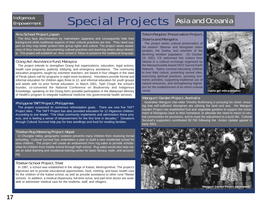# **Indigenous** Empowerment

# Special Projects Asia and Oceania

# Ainu School Project, Japan

The Ainu face discrimination by mainstream Japanese and consequently hide their background while traditional aspects of their cultural practices are lost. They need support so they may better protect their group rights and culture. The project raises awareness of Ainu issues by documenting cultural practices and teaching others about diversity. The project will establish an Ainu school in Tokyo to preserve the traditional language.

# Orang Asli Assistance Fund, Malaysia

The project intends to strengthen Orang Asli organizations, education, legal actions, health care programs, publicity, lobbying, and emergency assistance. The community education programs, taught by volunteer teachers, are based in four villages in the state of Perak (plans call for programs in eight more locations). Volunteers provide formal and informal education for children ages three to 12, and informal education for youth groups and adults with no prior formal education. In March 2001, Tijah Chopil, the school's founder, co-convened the National Conference on Biodiversity and Indigenous Knowledge, speaking on the Orang Asli's possible participation in the Malaysian Ministry of Health's program to integrate traditional medicine into governmental health services.

## Philippine TAFT Project, Philippines

The project surpassed its numerous reforestation goals. There are now five TAFT Project sites. The TAFT Project has also provided education for 12 Higaonon children. According to one leader, "The tribal community implements and administers these projects, and is feeling a sense of empowerment for the first time in decades." Donations through Cultural Survival help pay for tree seedlings and food for residing families.

## Tibetan Rug Weaving Project, Nepal

In Chungba Valley, geographic isolation prevents many children from receiving formal schooling. Cultural Survival has undertaken a plan to build a new residential school for area children. The project will create an endowment from rug sales to provide scholarships for children from middle school through high school. Rug sales would also help create an adult learning and vocational training center for basic literacy, math, and accounting.

# Tibetan School Project, Tibet

In 1987, a school was established in the village of Katsel, Medrogonkhar. The project's objectives are to provide educational opportunities, food, clothing, and basic health care for the children of the Katsel school, as well as provide assistance to other rural Tibetan schools. In addition, a medical dispensary, full-time nurse, and part-time doctor are available to administer medical care for the students, staff, and villagers.

# Totem Peoples' Preservation Project, Siberia and Mongolia

The project seeks cultural preservation of the eastern Siberian and Mongolian totem peoples, the Dukha, and retention of the declining reindeer population. On October 29, 2001, CS welcomed five visitors from Siberia in a cultural exchange organized by the Massachusetts-based NGO Sacred Earth Network. Topics covered educating children to love their culture, protecting sacred sites, exercising spiritual practices, pursuing economic activities, supporting traditional use of natural resources, and strengthening legislation for the establishment of an ethno-cultural center.



# Wangurri Garden Project, Australia

Australian Wangurri clan elder Timothy Buthimang is pursuing his vision: ensuring that self-sufficient Aborigines are utilizing the land and sea. His Wangurri Garden Project has established fruit and vegetable gardens to support the movement of Aborigines back to their homeland, to alleviate the need to return to central communities for provisions, and to ease the adjustment to a bush life. Cultural Survival's supporters contributed \$2,760 following the Action Update appeal in early 2001.

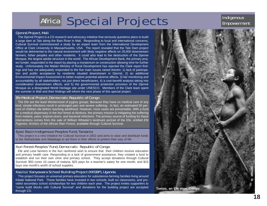# Africa Special Projects Indigenous

### Djenné Project, Mali

The Djenné Project is a CS research and advocacy initiative that seriously questions plans to build a large dam at Talo along the Bani River in Mali. Responding to local and international concerns, Cultural Survival commissioned a study by an expert team from the International Development Office at Clark University in Massachusetts, USA. The report revealed that the Talo Dam project would be detrimental to the natural environment with likely negative affects on 20,000 downstream farmers, fisher peoples and other residents. It could also lead to the destruction of the Djenne Mosque, the largest adobe structure in the world. The African Development Bank, the primary project funder, responded to the report by placing a moratorium on construction allowing time for further study. Unfortunately the Malian Ministry of Rural Development has rejected the Clark report findings and has not adequately responded to the five main issues raised therein: 1) lack of participation and public acceptance by residents situated downstream in Djenné, 2) an additional Environmental Impact Assessment to better explore potential adverse affects, 3) fair monitoring and accountability by all stakeholders, not just direct beneficiaries, 4) a cost-benefit analysis taking into consideration downstream effects, and 5) the governmental protection provision of the Djenné Mosque as a designated World Heritage site under UNESCO. Members of the Clark team spent the summer in Mali and their findings will inform the next phase of this special project.

## Efe Medical Project, Democratic Republic of Congo

The Efe are the least Westernized of pygmy groups. Because they have no medical care of any kind, simple infections result in prolonged pain and severe suffering. In fact, an estimated 50 percent of children die before reaching adulthood. However, most cases are preventable. With a fund for a medical dispensary in the Ituri forest at Akokora, the primary mission is mitigating the suffering from malaria, yaws, tropical ulcers, and bacterial infections. The primary source of funding for these interventions comes from the sale of William Wheeler's landmark portrait of the Efe, entitled *Efe Pygmies: Archers of the African Rain Forest*, available through Cultural Survival.

## Eyasi Basin Indigenous Peoples Fund, Tanzania

This project is a new initiative for Cultural Survival in 2002 and aims to raise and distribute funds to the Wahadzabe and Wadatoga to aid them in their efforts to protect their way of life.

# Ituri Forest Peoples' Fund, Democratic Republic of Congo

Efe and Lese farmers in the Ituri rainforest wish to ensure that their children receive education and primary health care. Responding to a lack of government assistance, they created a fund to establish and run their own clinic and primary school. They accept donations through Cultural Survival: \$50 cures 10 cases of malaria, \$25 pays for a teacher's salary for one month, and \$15 buys one month's worth of school supplies.

# Kasiisi/ Kanyawara School Building Project (KKSBP), Uganda

This project focuses on universal primary education for subsistence-farming families living around Kibale National Park. These families have invested in two schools, built six classrooms, and provided secondary school scholarships for two children each year. The project invites supporters to "come build blocks with Cultural Survival" and donations for the building project are accepted through CS.

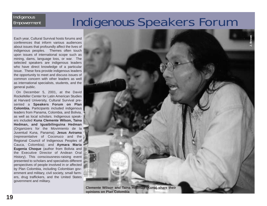# Indigenous Speakers Forum

Each year, Cultural Survival hosts forums and conferences that inform various audiences about issues that profoundly affect the lives of indigenous peoples. Themes often touch upon issues of international scope such as mining, dams, language loss, or war. The selected speakers are indigenous leaders who have direct knowledge of a particular issue. These fora provide indigenous leaders the opportunity to meet and discuss issues of common concern with other leaders as well as international specialists, students, and the general public.

**Indigenous** Empowerment

On December 5, 2001, at the David Rockefeller Center for Latin American Studies at Harvard University, Cultural Survival presented a **Speakers Forum on Plan Colombia.** Participants included indigenous leaders from Panama, Colombia, and Bolivia, as well as local scholars. Indigenous speakers included **Kuna Clemente Wilson, Taina Hedman, and Iguaibilinguina Hedman** (Organizers for the Movimiento de la Juventud Kuna, Panama); **Jesus Avirama** (representative of Coconuco and the Regional Council of Indigenous Peoples of Cauca, Colombia); and **Aymara Maria Eugenia Choque** (author from Bolivia and the Executive Director of Andean Oral History). This consciousness-raising event presented to scholars and specialists different perspectives of people involved in or affected by Plan Colombia, including Colombian government and military, civil society, small farmers, drug traffickers, and the United States government and military.



**opinions on Plan Colombia**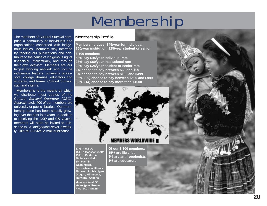# Membership

Membership Profile

**Membership dues: \$45/year for individual, \$60/year institution, \$25/year student or senior**

#### **3,100 members**

The members of Cultural Survival comprise a community of individuals and organizations concerned with indigenous issues. Members stay informed by reading our publications and contribute to the cause of indigenous rights financially, intellectually, and through their own activism. Members are our largest working network and include indigenous leaders, university professors, college libraries, educators and students, and former Cultural Survival

staff and interns.

**53% pay \$45/year individual rate 23% pay \$60/year institutional rate 22% pay \$25/year student or senior rate 2% choose to pay between \$60 and \$99 3% choose to pay between \$100 and \$499 0.6% (20) choose to pay between \$500 and \$999 0.5% (14) choose to pay more than \$1000**

Membership is the means by which we distribute most copies of the *Cultural Survival Quarterly (CSQ)*. Approximately 400 of our members are university or public libraries. Our membership base has been steadily growing over the past four years. In addition to receiving the *CSQ* and *CS Voices*, members will soon be invited to subscribe to *CS Indigenous News*, a weekly Cultural Survival e-mail publication. **MEMBERS WORLDWII** 

> **87% in U.S.A. 15% in Massachusetts 13% in California 8% in New York 3% each in Washington, Pennsylvania, Illinois 2% each in Michigan, Oregon, Minnesota, Maryland, Arizona Members in all 50**

**states (plus Puerto Rico, D.C., Guam)**

**Of our 3,100 members: 15% are libraries 5% are anthropologists 1% are educators**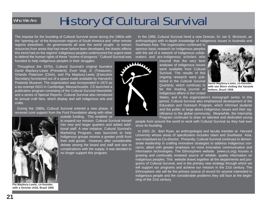# Who We Are

# History Of Cultural Survival

The impulse for the founding of Cultural Survival arose during the 1960s with the "opening up" of the Amazonian regions of South America and other remote regions elsewhere. As governments all over the world sought to extract resources from areas that had never before been developed, the drastic effects this trend had on the regions' indigenous peoples underscored the urgent need to defend the human rights of these "victims of progress." Cultural Survival was founded to help indigenous peoples in their struggles.

Throughout the 1970s, Cultural Survival's original founders David Maybury-Lewis (President), Evon Vogt, Jr. (Treasurer), Orlando Patterson (Clerk), and Pia Maybury-Lewis (Executive Secretary) functioned out of a space made available by Harvard's Peabody Museum. The organization was incorporated in 1972 as a tax-exempt NGO in Cambridge, Massachusetts. CS launched a publication program consisting of the *Cultural Survival Newsletter* and a series of Special Reports. Cultural Survival also introduced its annual craft fairs, which display and sell indigenous arts and crafts.

During the 1980s, Cultural Survival entered a new phase. It received core support from the Ford Foundation along with other

> to expand our mission. Cultural Survival moved into new and larger quarters and added additional staff. A new initiative, Cultural Survival's Marketing Program, was launched to help indigenous groups receive a greater profit from

> debate among the board and staff and due to complications with the supply, it was decided to



**Pia Maybury-Lewis, co-founder, with a Xerente child, Brazil 1956**

In the 1998, Cultural Survival hired a new Director, Dr. Ian S. McIntosh, an anthropologist with in-depth knowledge of indigenous issues in Australia and

Southeast Asia. The organization continued to sponsor basic research on indigenous peoples with the aid of a network of indigenous collaborators and pro-indigenous scholars who

insured that the very best analyses of indigenous issues were available from Cultural Survival. The results of this ongoing research were published in the *Cultural Survival Quarterly*, which continues to be the leading journal of indigenous affairs in the United



**David Maybury-Lewis, co-founder, with son Biorn visiting the Xavante Indians, Brazil 1958**

States, and in the organization's monograph series. In this period, Cultural Survival also emphasized development of the Education and Outreach Program, which informed students and the public at large about indigenous issues and their significance to the global community. Meanwhile, the Internship Program continued to draw on talented and dedicated young

people from around the world to work with Cultural Survival as they had ever since its founding.

In 2002, Dr. Bart Ryan, an anthropologist and faculty member at Harvard University whose areas of specilization includes Islam and Southeast Asia, was empolyed as Co-director. Presently, Cultural Survival continues to demonstrate leadership in crafting innovative strategies to address indigenous concerns, albeit with greater emphasis on more innovative communication and information technologies. The Ethnosphere website (www.cs.org) houses a growing and continually renewed source of reliable, quality information on indigenous peoples. This website draws together all the departments and programs of Cultural Survival, and is the primary new strategy through which we will support our programs and achieve our mission in the 21st century. The Ethnosphere site will be the primary source of record for anyone interested in indigenous people and the considerable problems they still face at the beginning of the 21st century.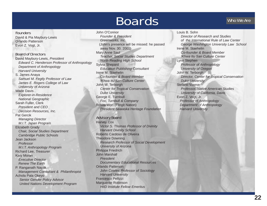# Boards

# Who We Are

### Founders

David & Pia Maybury-Lewis Orlando Patterson Evon Z. Vogt, Jr.

Board of Directors David Maybury-Lewis, *President Edward C. Henderson Professor of Anthropology Department of Anthropology Harvard University* S. James Anaya *Samuel M. Fegtly Professor of Law James E. Rogers College of Law University of Arizona* Wade Davis *Explorer-in-Residence National Geographic* Sarah Fuller, Clerk *President and CEO Decision Resources, Inc.* Pat Gercik *Managing Director M.I.T. Japan Program* Elizabeth Grady *Chair, Social Studies Department Cambridge Public Schools* Jean Jackson *Professor M.I.T. Anthropology Program* Richard Lee, *Treasurer*  Katy Moran *Executive Director Renew The Earth* P. Ranganath Nayak *Management Consultant & Philanthropist* Achola Pala Okeyo *Senior Gender Policy Advisor United Nations Development Program*

#### John O'Connor *Founder & President Greenworks, Inc.* (John's presence will be missed: he passed away Nov. 30, 2001) Mary Anne Saul *Teacher, Social Studies Department North Reading High School* Sylvia Shepard *Education Publishing Consultant* Irene M. Staehelin *Co-founder & Board Member !Khwa ttu San Culture Center*  John W. Terborgh *Center for Tropical Conservation Duke University* George E. Turnbull *Fox, Turnbull & Company* Rosita Worl (Tlingit Nation) *President Sealaska Heritage Foundation*

# Advisory Board

Harvey Cox *Victor S. Thomas Professor of Divinity Harvard Divinity School* Roberto Cardoso de Oliveira Theodore Downing *Research Professor of Social Development University of Arizona* Philippa Friedrich John Marshall *President Documentary Educational Resources* Orlando Patterson *John Cowles Professor of Sociology Harvard University* Francesco Pellizzi Marguerite Robinson *HIID Institute Fellow Emeritus*

#### Louis B. Sohn

*Director of Research and Studies of the International Rule of Law Center George Washington University Law School* Irene M. Staehelin *Co-founder & Board Member !Khwa ttu San Culture Center*  Lynn Stephen *Professor of Anthropology University of Oregon* John W. Terborgh *Director, Center for Tropical Conservation Duke University* Stefano Varese *Professor, Native American Studies University of California, Davis* Evon Z. Vogt, Jr. *Professor of Anthropology Department of Anthropology Harvard University*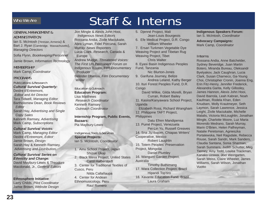# Who We Are

# Staff & Interns

# GENERAL MANAGEMENT & ADMINISTRATION

Ian S. McIntosh (Yerevan, Armenia) & Bart J. Ryan (Cambridge, Massachusetts), *Managing Directors*

Sofia Flynn, *Bookkeeping/Personnel*

Jamie Brown, *Information Technology* 

### MEMBERSHIP

Mark Camp, *Coordinator*

# PROGRAMS

Publications & Research *Cultural Survival Quarterly:* Deidre d'Entremont, *Editor and Art Director* Tara Tidwell, *Managing Editor* Bartholomew Dean, *Book Reviews Editor* Sarah Hay, *Advertising and Single Copy Sales* Kenneth Ramsey, *Advertising* Mark Camp, *Subscriptions*

#### *Cultural Survival Voices:*

Mark Camp, *Managing Editor* Deidre d'Entremont, *Editor* Jamie Brown, *Design* Sarah Hay & Kenneth Ramsey, *Advertising and Distribution*

#### *Cultural Survival Series on Ethnicity and Change:* David Maybury-Lewis & Theodore

Macdonald, Jr., *General Editors*

### **Ethnosphere Initiative**:

Larry Childs, *Pilot Coordinator* Jamie Brown, *Website Design*

Jon Mingle & Alexis John Hooi, *Indigenous News Editors* Rossana Andia, Zivile Maciukaite, Abra Lyman, Fidel Porcuna, Sarah Murray, *News Reporters* Lucia Clark, *Research,* Canada & Europe Andrew Mudge, *Threatened Voices: The First UN Permanent Forum on Indigenous Issues*, Film Documentary Producer

Belinder Dhanoa, *Film Documentary Writer*

# Education & Outreach

**Education Program:** Lisa Matthews *Research Coordinator* Kenneth Ramsey *Outreach Coordinator*

#### **Internship Program, Public Events, Bazaars:**  Pia Maybury-Lewis

#### Indigenous Tools & Services **Special Projects:** Ian S. McIntosh, *Coordinator*

- 1. Ainu School Project, Japan Shizue Ukaji
- 2. Black Mesa Project, United States Carol Halberstadt
- 3. Center for Traditional Textiles of Cusco, Peru
	- Nilda Callañaupa
- 4. Center for Andean Ethnomusicology, Peru
- Raul Romero
- 5. Djenné Project, Mali Jean-Louis Bourgeois
- 6. Efe Medical Project, D.R. Congo William Wheeler

7. Ersari Turkmen Vegetable Dye Weaving Project and Tibetan Rug Weaving Project, Tibet

Chris Walter 8. Eyasi Basin Indigenous Peoples Fund, Tanzania

Nic Blurton-Jones

9. Garifuna Journey, Belize Andrea Leland, Kathy Berger 10. Ituri Forest Peoples Fund, D.R. **Congo** 

David Wilkie, Gilda Morelli, Bryan Curran, Robert Bailey 11. Kasiisi/Kanyawara School Project,

Uganda

Elizabeth Ross, Richard Wrangham 12. Philippine TAFT Project, **Philippines** 

Datu Efren Mandipensa 13. Pumé Project, Venezuela Pei-Lin Yu, Russell Greaves 14. Sna Jtz'ibajom, Chiapas Writers' Cooperative, Mexico Robert Laughlin 15. Totem Peoples' Preservation Project, Mongolia Daniel Plumley 16. Wangurri Garden Project, Australia

Timothy Buthimang 17. Wara Collection Project, Brazil Hiparidi Top'tiro

18. Xavante Education Fund, Brazil Laura Graham

**Indigenous Speakers Forum:** Ian S. McIntosh, *Coordinator*

**Advocacy Campaigns:** Mark Camp, *Coordinator*

## Interns

Rossana Andia, Anne Batchelder, Sydney Beveridge, Juan Martin Botero, Miranda Bureau, Oleksandr Byelyakov, Jack Caughran, Lucia Clark, Susan Charneco, Ga-Young Choi, Christopher Cronin, Joanna Eng, Erin Fitz-Henry, Jennifer Frederick, Alexandra Garita, Kelly Gillooley, James Hannon, Alexis John Hooi, David Ibarrola, Leah Kabran, Noah Kaufman, Rodela Khan, Eden Knudsen, Molly Krautmeyer, Seth Laymon, Sarah Lawrence, Jessica Leight, Zivile Maciukaite, Michelle Malalis, Victoria McLoughlin, Jonathan Mingle, Charlotte Moore, Luz Maria Morendo Medrano, Sarah Murray, Marin O'Brien, Helen Palfreyman, Natalie Peretsman, Agnieszka Portalewska, Neil Ragsdale, Rebecca Rouse, Sarah Sandri, Mark Sanders, Claudia Santana, Sonia Sharman, Sarah Summers, Judith Schutter, Meg Tierney, Amy Todd, Louisa Trackman, Kanako Uzawa, Joel Weingarten, Sarah Weiss, Claire Wheeler, James Williams, Sarah Wilson, Jonathan Vuotto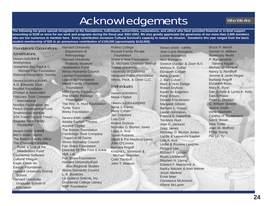# Acknowledgements

Who We Are

**The following list gives special recognition to the foundations, individuals, universities, corporations, and others who have provided financial or in-kind support amounting to \$100 or more for our work and programs during the fiscal year 2001-2002. We also greatly appreciate the generosity of our more than 3,000 members who are too numerous to mention here. Every contribution increases Cultural Survival's capacity to realize its mission. Donations this year ranged from the basic student membership of \$25 to an anonymous contribution of £100,000 (aproximately \$142,000).**

# Foundations, Corporations & Institutions

Donors (\$20,000+**)** Anonymous Josephine Bay Paul & C. Michael Paul Foundation National Geographic Society

Donors (\$2,001-\$20,000) A.G. Edwards Trust Bechtel Foundation Choban & Associates Fiduciary Trust Company International Nordlys Foundation, Inc. Peace Development Fund Smithsonian Institute STA Travel/Council Travel Swanee Hunt Family

Foundation

Donors (\$500 - \$1999**)** Bart's Water Sports The Boston Family Office The Charlotte Forsythe Fund, a fund of the Headwaters Fund Countertop Software Cultural Intrigue Eagle Creek Inc. Easton Foundation Harvard University Divinity **School** Harvard University Graduate School of **Education** 

Department of Anthropology Harvard University Peabody Museum Headwaters Fund Illinois Humanity Council Lannan Foundation Lippincott Foundation Merrill Family Charitable **Foundation** Mills Family Foundation The Middle Passage Foundation The Roy A. Hunt Foundation Turtle Tours Winky Foundation

Harvard University

Donors (\$100 - \$499)

Amelia Earhart Theatre Ascend Capital The Boston Foundation Cambridge Trust Company Chapel of All Saints Illinois Humanity Council Fair Share Foundation Disorder Of The Foot & Ankle Idyll, Ltd. Fair Share Foundation Harvard University/East Asia Regional Studies Illinois Humanity Council L. A. Burdicks La Guitarra Selecta, Inc. Occidental College Library RMF Foundation

Rollins College Russell Family Private Foundation Share It Now Foundation St. Michaels Christian Service Tulane University University of California Vanguard Public Foundation Weiss, Peck, & Greer LLC.

## Individuals

Donors (\$20,000+) Maria Chabot

#### Donors (\$2,001-\$20,000)

Alicia J. Campi Harry Cohen Jan Crawford Lida Crol Robert Dryfoos Nicholas G. Blurton Jones Linda A. Krol Susan Kubanis David & Pia Maybury-Lewis John O'Connor Barbara Rogoff Kristina L. Simmons & Michael Sheridan Colin Turnbull John T. Watson

Donors (\$500 - \$1999) Jean-Louis Bourgeois Louise Bourgeois Nico Burssens Snoeck-Ducaju & Zoon N.V. Melissa K. Collier Elizabeth Cooper Asho Craine J. Bart Culver Mark & Vicki Dodge Robert Dryfoos Karen Ito Edgerton Peter Ellison Donald Frischmann Margaret Gibson Barbara L. Glaser Laurel Gonsalves Patricia E. Haseltine Torrence Hunt Jean E. Jackson Greg James Nicholas G. Blurton Jones Lucille & Lawrence Kaplan Lida A. Krol Ledlie & Roxana Laughlin Richard Lee Richard F. Leman Bryan Lockwood Stephen H. Loring Edward F. Macnichol Jr. Nancy Maizels & Alan Weiner Jesse Markow Ernst Mayr Constance McAninch Arlene McLaren

Bruce P. Merrill Gerrish H. Milliken Rosemary Mudd P. Ranganath& Sandra Nayak Michael O. Nimkoff Nancy S. Nordhoff Jerome & Janet Regier Barbara Rogoff Elizabeth Ross Mary K. Ryan Dan Scheib & Lynda A. Kelly Dan Schiavo Peter L. Sheldon G. William Skinner Janine Smith Irene Staehelin Cynthia H. Sunderland Gerrit Stover Irma Turtle Joan W. Wofford Philip Young Pei Lin Yu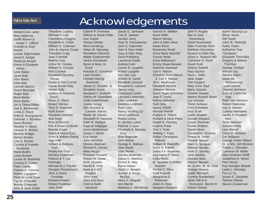# Who We Are

# Acknowledgements

Donors (\$100 - \$499) Mary Adderley Judith Aissen & James T. Clifford Graham & Jean Alvord Louise Todd Ambler Janet K. Amighi Rebecca Arnoldi Elisha & Elizabeth Atkins Lotte Bailyn Janet Bain John Balint Keith Ball Carmen Barros Grace Bascope Roger Batz Brent Berlin Rose Bethe Jim & Diana Billipp Gail A. Binderman Linda C. Black Erika E. Bourguignon Deborah J. Bordeau Dawn Bowen Markley H. Boyer Victoria R. Bricker Beverly Bridger Dorian Brooks Lisa D. Brooks Cynthia & Franklin Browning Maria Bullen Linda Burkett Louise M. Burkhard Cristina E. Callan Peter Canby Francis A. Cancian Robert Campbell Peter & Lucia Case Fay M. Chandler Murray Chapman John & Jean Childs

Theodore Coakley Michael D.Coe Celemency Coggins Elizabeth H. Coker William C. Coleman John & Jeanne Coseo Theodore Craig Jean Crandall Martha Cray Arthur M. Crocker William H. Crocker Ron Crunhut Elizabeth Csicsery-Ronay Susan & Tom Curren Carrie Nicole Daily Vernie Dale Andrew & Adrianne Davis Alison E. Davis Robert Dentan Terry B. Eastman Ruth Eckert Elizabeth Eddison Mait Edey Risa S Ellovich Kirk & Karen Endicott Brenda Engel Glenn & Maria Erso Anne & William Ewing Sigo Falk William & Barbara Fash Phyllis Ann Fast Dorothy Federman Patricia & T. Lux Feininger Michael M.J. Fischer Douglas Fitzsimmons John & Diane Forsdale Barbara Franks Robert Freidman John Fries

Gabriel P. Frommer William & Sarah Fuller Ivan Gayler Teresa Gilman Mirra Ginsburg Helen W. Giessing Michalene Glennon Walter Goldschmidt Janice Gonsalves Byron & Mary Jo Good Felicitas D. Goodman Lesli Gordon Pamela Giering Gossman James H. Goulder, Jr. Elizabeth Grady Margaret J. Graham Sidney M. Greenfield Linda Greenhouse Louise Gregg Ron Grunhut & Carmen Barros Walter W. Haines Elizabeth H. Harrison Edith R. Hedges Dagmar Helgager Carol Hendrickson Susan J. Herlin Eva Hersh John Hertzfeld Dennis Holeman Richard A. Horvitz Meta Hough Rosanne Howard Robert W. Howe W.W. Howells Daniel B. Hrdy Aase  $8$  A W<sub>F</sub> **Huggins** John Hunt Joan Ann Hyra Cheri & Keith Jameson

Daniel E. Jameson Carl R. Jantzen Jocelyn Jerry Mary N. Kachadurian John E. Kaemmer Jack & Sara Keller Gary & Glen King David Kohlberg Lawrence Koplik Andrea Kulin James B. Laughlin Robert Laughlin San San Lee William B. Lenoir Elizabeth Leonard Margaret A. Leonard James Levy Constance Lewis Leonard Lieberman Cher Lindholm Matthew Lindholm Rach Linn Nancy Yu-Ning Liu Irena Lombroso Robert Loney M. Brinton Lykes Patricia J. Lyon Elizabeth A. Mackay-Gray Blue Magruder John Maher George E. Mallouk Allen Maret Joan Marler Sandra Matteson Elaine K. Martinez Ernest R. May Roma Mayur Janet U. Mcalpin Joseph & Susan McGee Kerry C. Mcgrath Ann Merritt Matthew C. Michelsen

Gerrish H. Milliken Kevin Miller Marvin Minsky John & Ellen Moot Karen Moss Rosemary Mudd Anna Marie Mulvihill Connie Mutel Anna Nathanson Emmy Howe-Neseed Salomon Nahmad Carl F. Nelson Christine Scott Nelson & Carl F. Nelson Jill E. Newhouse Elizabeth Nichols Johanna Nichols David Teget Nicholson Jean F. Nutini Felicia Oldfather Sutti Ortiz Nancy Oxfeld Michael Perloff Pauline E. Peters Richard & Irene Pipes Daniel R. Plumley Gudrun Polak Tom V. Potts Welling T. Pope Esther Christopher Pullman William B. Radcliffe Dena O. Rakoff David A.F. Raynolds Ana Maria G. Reed Celia Reich M. Janneke & Robert Resnick Rachel Z. Ritvo Fred Roberts Marguerite S. Robinson Aldon N. Roat Margaret Rodgers

Barr & June Rosenberg David Rosenstein Ellen Freeman Roth Kathleen Rousseau Rustum & Della Roy Gloria A. Rudisch MD Catharine D. Rush David Rush Jeremy Sabloff Paul Sachos Paul L. Saffo Jane Sager Tom Sargent Mary Anne Saul Maria Sauzier Fanette Sawyer Martha Russell Share Lou Scharpf Glenn Schiavo Fred Schneider Paul Scott Judith Shapiro Donald Shepard Susan Sherman Parker Shipton Daniel Silver Christopher Simpson Teresa M. Smith Pauline Spiegal Mary G. Sprague Samuel Stanley Keith E. Stanley Jane Starkey Charles Stein Marilyn Stewart Mr. & Mrs. W. St. Goar George Strauss Judith Stronach Cynthia Sunderland Janet Taft & H. Rennyson Merritt III Robert Tamkin

John P. Rogers

Karen Taussig-Lux Elmer Taylor Will Taylor John W. Terborgh Kathy Tholin Katharine True **Thompson** Elizabeth Thorndike Gregory & Helene **Thornton** George Turnbull William Ury Sandra Utech Marie De Vandoeuvres Leslie Vensel Charles Verharen Evon & Catherine Vogt Peter Von Mertens Robert Walmsley Kay B. Warren Cynthia Weinstein James & Rosalind Weir Tome Weisner Dolores Welty Lisa Wersal Carol M. Whitney Dar Williams George Carter Wilson Dr. & Mrs. LM Winston Robert L. Winzeler Cameron W. Wolfe Mary Andrews Wolff Josephine E. Wood Pam Wood Kay Harrigan Woods Ledie L. Woosley Pei Lin Yu Susan E. Zarutskie Patricia Zilinski Steven Zuckerman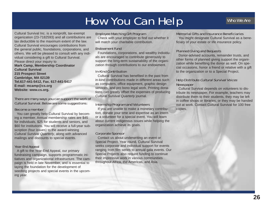# How You Can Help

Cultural Survival Inc. is a nonprofit, tax-exempt organization (23-7182593) and all contributions are tax deductible to the maximum extent of the law. Cultural Survival encourages contributions from the general public, foundations, corporations, and others. We will be pleased to consult with any individual considering a gift to Cultural Survival. Please direct your inquiry to **Mark Camp, Membership Coordinator Cultural Survival 215 Prospect Street Cambridge, MA 02139 Tel.617-441-5412, Fax. 617-441-5417 E-mail: mcamp@cs.org Website: www.cs.org.**

## There are many ways you can support the work of Cultural Survival. Below are some suggestions:

#### Become a member

You can greatly help Cultural Survival by becoming a member. Annual membership rates are \$45 for individuals, \$25 for students and seniors, and \$60 for institutions. You will receive a full-year subscription (four issues) to the award-winning *Cultural Survival Quarterly*, along with advanced mailings and discounts to special events.

# Year-End Appeal

A gift to the Year-End Appeal, our primary fundraising campaign, supports programmatic initiatives and organizational infrastructure. The campaign is held in late November, and is essential to laying the foundation for the development of seedling projects and special events in the upcoming year.

# Employee Matching Gift Program

Check with your employer to find out whether it will match your charitable contribution.

### Endowment Fund

Foundations, corporations, and wealthy individuals are encouraged to contribute generously to support the long-term sustainability of the organization through contributions to our endowment.

### In-Kind Contribution

Cultural Survival has benefited in the past from in-kind contributions made in different areas such as computers, office equipment, graphic design services, and pro bono legal work. Printing donations can greatly offset the expenses of producing *Cultural Survival Quarterly* journal.

# Internship Program and Volunteers

If you are unable to make a monetary contribution, donate your time and expertise as an intern or a volunteer for a special event. You will learn about current indigenous issues while helping the organization achieve its goals.

## Corporate Sponsor

Contact us about underwriting an event or Special Project. Year round, Cultural Survival seeks corporate and individual support for events ranging from film series to annual gala events. Our Special Projects also require funding to continue their impressive work in various communities throughout Africa, the Americas, and Asia.

### Memorial Gifts and Insurance Beneficiaries

You might designate Cultural Survival as a beneficiary of your estate or life insurance policy.

# Planned Giving and Bequests

Donor-advised accounts, remainder trusts, and other forms of planned giving support the organization while benefiting the donor as well. On special occasions, honor a friend or relative with a gift to the organization or to a Special Project.

## Help Distribute Cultural Survival Voices **Newspaper**

Cultural Survival depends on volunteers to distribute its newspaper. For example, teachers may distribute them to their students, they may be left in coffee shops or libraries, or they may be handed out at work. Contact Cultural Survival for 100 free copies.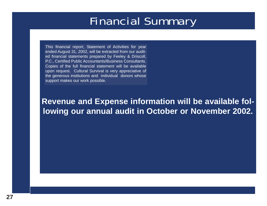# Financial Summary

This financial report, Statement of Activities for year ended August 31, 2002, will be extracted from our audited financial statements prepared by Feeley & Driscoll, P.C., Certified Public Accountants/Business Consultants. Copies of the full financial statement will be available upon request. Cultural Survival is very appreciative of the generous institutions and individual donors whose support makes our work possible.

**Revenue and Expense information will be available following our annual audit in October or November 2002.**